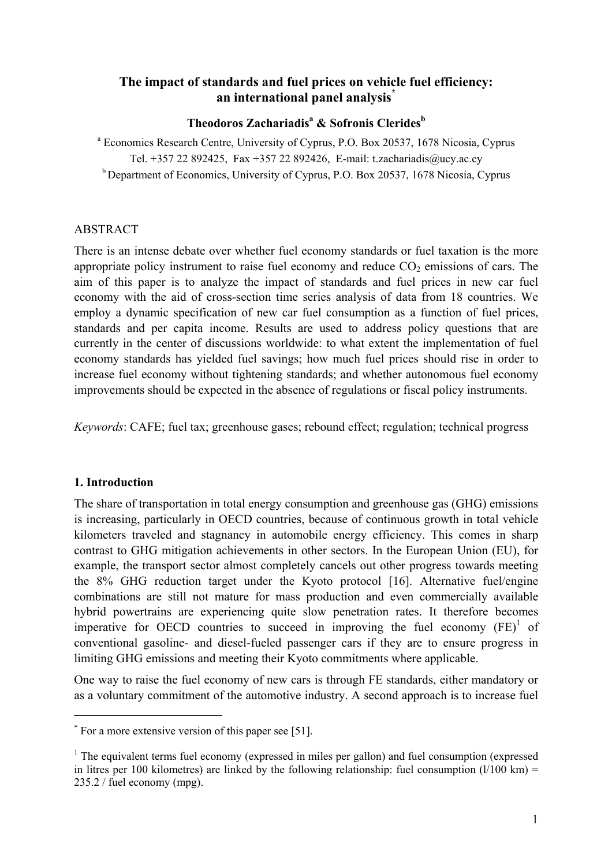# **The impact of standards and fuel prices on vehicle fuel efficiency: an international panel analysis[\\*](#page-0-0)**

# **Theodoros Zachariadis<sup>a</sup> & Sofronis Cleridesb**

<sup>a</sup> Economics Research Centre, University of Cyprus, P.O. Box 20537, 1678 Nicosia, Cyprus Tel. +357 22 892425, Fax +357 22 892426, E-mail: t.zachariadis@ucy.ac.cy <sup>b</sup> Department of Economics, University of Cyprus, P.O. Box 20537, 1678 Nicosia, Cyprus

### ABSTRACT

There is an intense debate over whether fuel economy standards or fuel taxation is the more appropriate policy instrument to raise fuel economy and reduce  $CO<sub>2</sub>$  emissions of cars. The aim of this paper is to analyze the impact of standards and fuel prices in new car fuel economy with the aid of cross-section time series analysis of data from 18 countries. We employ a dynamic specification of new car fuel consumption as a function of fuel prices, standards and per capita income. Results are used to address policy questions that are currently in the center of discussions worldwide: to what extent the implementation of fuel economy standards has yielded fuel savings; how much fuel prices should rise in order to increase fuel economy without tightening standards; and whether autonomous fuel economy improvements should be expected in the absence of regulations or fiscal policy instruments.

*Keywords*: CAFE; fuel tax; greenhouse gases; rebound effect; regulation; technical progress

## **1. Introduction**

 $\overline{a}$ 

The share of transportation in total energy consumption and greenhouse gas (GHG) emissions is increasing, particularly in OECD countries, because of continuous growth in total vehicle kilometers traveled and stagnancy in automobile energy efficiency. This comes in sharp contrast to GHG mitigation achievements in other sectors. In the European Union (EU), for example, the transport sector almost completely cancels out other progress towards meeting the 8% GHG reduction target under the Kyoto protocol [16]. Alternative fuel/engine combinations are still not mature for mass production and even commercially available hybrid powertrains are experiencing quite slow penetration rates. It therefore becomes imperative for OECD countries to succeed in improving the fuel economy  $(FE)^1$  of conventional gasoline- and diesel-fueled passenger cars if they are to ensure progress in limiting GHG emissions and meeting their Kyoto commitments where applicable.

One way to raise the fuel economy of new cars is through FE standards, either mandatory or as a voluntary commitment of the automotive industry. A second approach is to increase fuel

<span id="page-0-0"></span><sup>\*</sup> For a more extensive version of this paper see [51].

<span id="page-0-1"></span> $<sup>1</sup>$  The equivalent terms fuel economy (expressed in miles per gallon) and fuel consumption (expressed</sup> in litres per 100 kilometres) are linked by the following relationship: fuel consumption  $(1/100 \text{ km}) =$ 235.2 / fuel economy (mpg).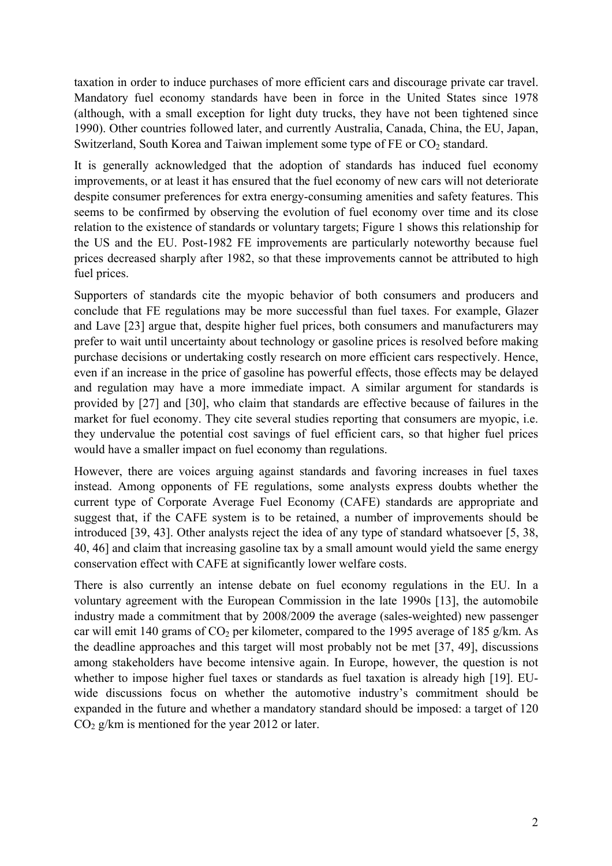taxation in order to induce purchases of more efficient cars and discourage private car travel. Mandatory fuel economy standards have been in force in the United States since 1978 (although, with a small exception for light duty trucks, they have not been tightened since 1990). Other countries followed later, and currently Australia, Canada, China, the EU, Japan, Switzerland, South Korea and Taiwan implement some type of  $FE$  or  $CO<sub>2</sub>$  standard.

It is generally acknowledged that the adoption of standards has induced fuel economy improvements, or at least it has ensured that the fuel economy of new cars will not deteriorate despite consumer preferences for extra energy-consuming amenities and safety features. This seems to be confirmed by observing the evolution of fuel economy over time and its close relation to the existence of standards or voluntary targets; Figure 1 shows this relationship for the US and the EU. Post-1982 FE improvements are particularly noteworthy because fuel prices decreased sharply after 1982, so that these improvements cannot be attributed to high fuel prices.

Supporters of standards cite the myopic behavior of both consumers and producers and conclude that FE regulations may be more successful than fuel taxes. For example, Glazer and Lave [23] argue that, despite higher fuel prices, both consumers and manufacturers may prefer to wait until uncertainty about technology or gasoline prices is resolved before making purchase decisions or undertaking costly research on more efficient cars respectively. Hence, even if an increase in the price of gasoline has powerful effects, those effects may be delayed and regulation may have a more immediate impact. A similar argument for standards is provided by [27] and [30], who claim that standards are effective because of failures in the market for fuel economy. They cite several studies reporting that consumers are myopic, i.e. they undervalue the potential cost savings of fuel efficient cars, so that higher fuel prices would have a smaller impact on fuel economy than regulations.

However, there are voices arguing against standards and favoring increases in fuel taxes instead. Among opponents of FE regulations, some analysts express doubts whether the current type of Corporate Average Fuel Economy (CAFE) standards are appropriate and suggest that, if the CAFE system is to be retained, a number of improvements should be introduced [39, 43]. Other analysts reject the idea of any type of standard whatsoever [5, 38, 40, 46] and claim that increasing gasoline tax by a small amount would yield the same energy conservation effect with CAFE at significantly lower welfare costs.

There is also currently an intense debate on fuel economy regulations in the EU. In a voluntary agreement with the European Commission in the late 1990s [13], the automobile industry made a commitment that by 2008/2009 the average (sales-weighted) new passenger car will emit 140 grams of  $CO<sub>2</sub>$  per kilometer, compared to the 1995 average of 185 g/km. As the deadline approaches and this target will most probably not be met [37, 49], discussions among stakeholders have become intensive again. In Europe, however, the question is not whether to impose higher fuel taxes or standards as fuel taxation is already high [19]. EUwide discussions focus on whether the automotive industry's commitment should be expanded in the future and whether a mandatory standard should be imposed: a target of 120  $CO<sub>2</sub> g/km$  is mentioned for the year 2012 or later.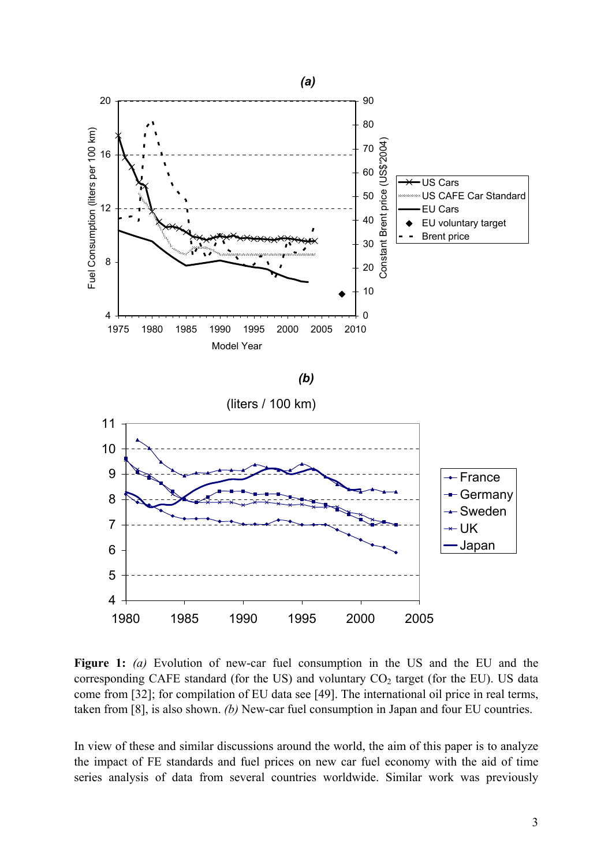

**Figure 1:** *(a)* Evolution of new-car fuel consumption in the US and the EU and the corresponding CAFE standard (for the US) and voluntary  $CO<sub>2</sub>$  target (for the EU). US data come from [32]; for compilation of EU data see [49]. The international oil price in real terms, taken from [8], is also shown. *(b)* New-car fuel consumption in Japan and four EU countries.

In view of these and similar discussions around the world, the aim of this paper is to analyze the impact of FE standards and fuel prices on new car fuel economy with the aid of time series analysis of data from several countries worldwide. Similar work was previously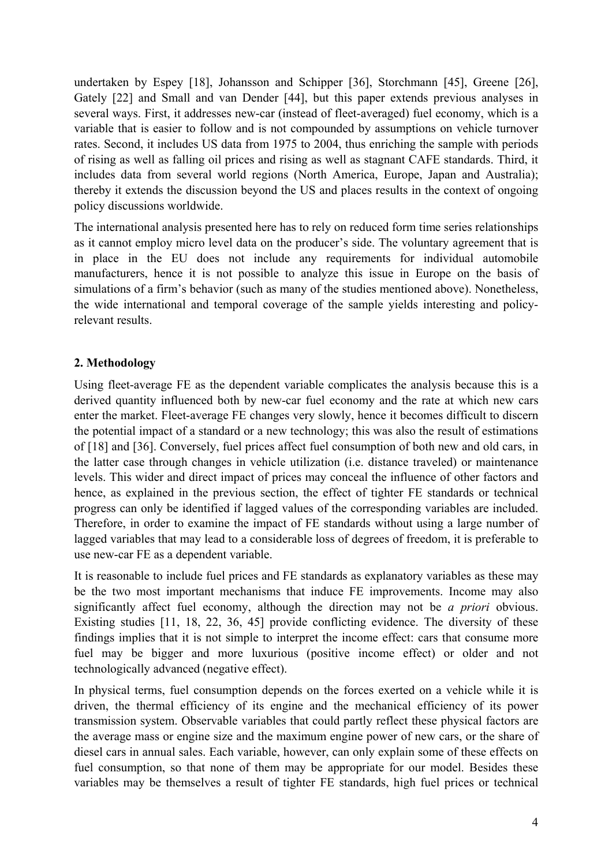undertaken by Espey [18], Johansson and Schipper [36], Storchmann [45], Greene [26], Gately [22] and Small and van Dender [44], but this paper extends previous analyses in several ways. First, it addresses new-car (instead of fleet-averaged) fuel economy, which is a variable that is easier to follow and is not compounded by assumptions on vehicle turnover rates. Second, it includes US data from 1975 to 2004, thus enriching the sample with periods of rising as well as falling oil prices and rising as well as stagnant CAFE standards. Third, it includes data from several world regions (North America, Europe, Japan and Australia); thereby it extends the discussion beyond the US and places results in the context of ongoing policy discussions worldwide.

The international analysis presented here has to rely on reduced form time series relationships as it cannot employ micro level data on the producer's side. The voluntary agreement that is in place in the EU does not include any requirements for individual automobile manufacturers, hence it is not possible to analyze this issue in Europe on the basis of simulations of a firm's behavior (such as many of the studies mentioned above). Nonetheless, the wide international and temporal coverage of the sample yields interesting and policyrelevant results.

# **2. Methodology**

Using fleet-average FE as the dependent variable complicates the analysis because this is a derived quantity influenced both by new-car fuel economy and the rate at which new cars enter the market. Fleet-average FE changes very slowly, hence it becomes difficult to discern the potential impact of a standard or a new technology; this was also the result of estimations of [18] and [36]. Conversely, fuel prices affect fuel consumption of both new and old cars, in the latter case through changes in vehicle utilization (i.e. distance traveled) or maintenance levels. This wider and direct impact of prices may conceal the influence of other factors and hence, as explained in the previous section, the effect of tighter FE standards or technical progress can only be identified if lagged values of the corresponding variables are included. Therefore, in order to examine the impact of FE standards without using a large number of lagged variables that may lead to a considerable loss of degrees of freedom, it is preferable to use new-car FE as a dependent variable.

It is reasonable to include fuel prices and FE standards as explanatory variables as these may be the two most important mechanisms that induce FE improvements. Income may also significantly affect fuel economy, although the direction may not be *a priori* obvious. Existing studies [11, 18, 22, 36, 45] provide conflicting evidence. The diversity of these findings implies that it is not simple to interpret the income effect: cars that consume more fuel may be bigger and more luxurious (positive income effect) or older and not technologically advanced (negative effect).

In physical terms, fuel consumption depends on the forces exerted on a vehicle while it is driven, the thermal efficiency of its engine and the mechanical efficiency of its power transmission system. Observable variables that could partly reflect these physical factors are the average mass or engine size and the maximum engine power of new cars, or the share of diesel cars in annual sales. Each variable, however, can only explain some of these effects on fuel consumption, so that none of them may be appropriate for our model. Besides these variables may be themselves a result of tighter FE standards, high fuel prices or technical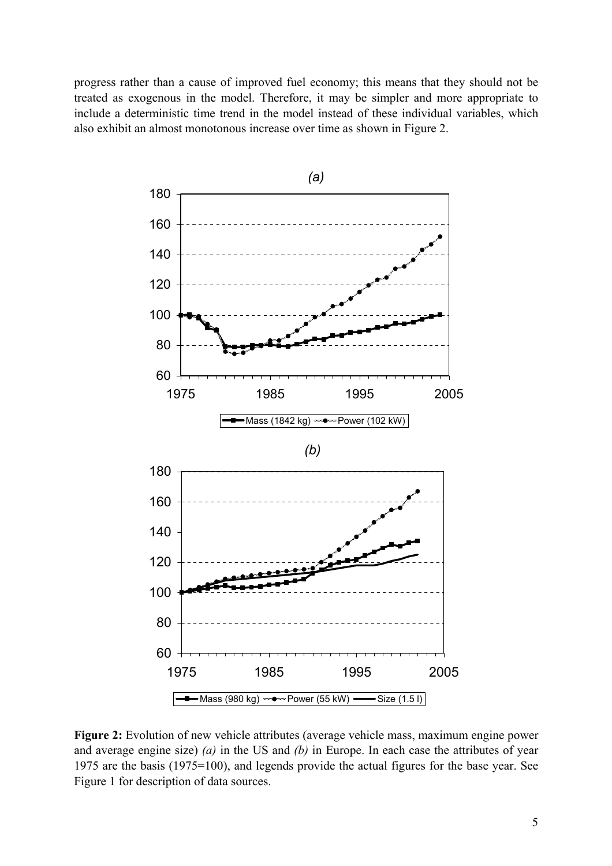progress rather than a cause of improved fuel economy; this means that they should not be treated as exogenous in the model. Therefore, it may be simpler and more appropriate to include a deterministic time trend in the model instead of these individual variables, which also exhibit an almost monotonous increase over time as shown in Figure 2.



**Figure 2:** Evolution of new vehicle attributes (average vehicle mass, maximum engine power and average engine size) *(a)* in the US and *(b)* in Europe. In each case the attributes of year 1975 are the basis (1975=100), and legends provide the actual figures for the base year. See Figure 1 for description of data sources.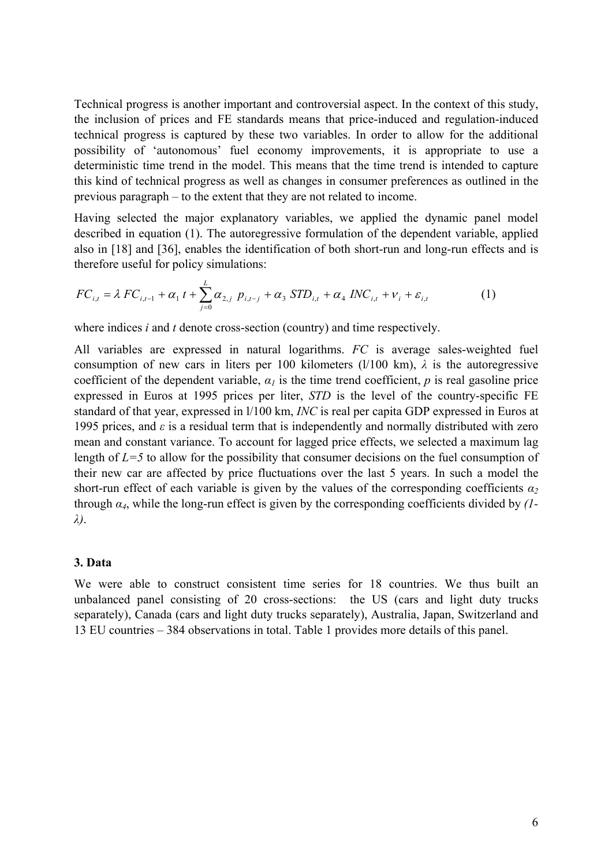Technical progress is another important and controversial aspect. In the context of this study, the inclusion of prices and FE standards means that price-induced and regulation-induced technical progress is captured by these two variables. In order to allow for the additional possibility of 'autonomous' fuel economy improvements, it is appropriate to use a deterministic time trend in the model. This means that the time trend is intended to capture this kind of technical progress as well as changes in consumer preferences as outlined in the previous paragraph – to the extent that they are not related to income.

Having selected the major explanatory variables, we applied the dynamic panel model described in equation (1). The autoregressive formulation of the dependent variable, applied also in [18] and [36], enables the identification of both short-run and long-run effects and is therefore useful for policy simulations:

$$
FC_{i,t} = \lambda \ FC_{i,t-1} + \alpha_1 \ t + \sum_{j=0}^{L} \alpha_{2,j} \ p_{i,t-j} + \alpha_3 \ STD_{i,t} + \alpha_4 \ INC_{i,t} + \nu_i + \varepsilon_{i,t}
$$
 (1)

where indices *i* and *t* denote cross-section (country) and time respectively.

All variables are expressed in natural logarithms. *FC* is average sales-weighted fuel consumption of new cars in liters per 100 kilometers  $(l/100 \text{ km})$ ,  $\lambda$  is the autoregressive coefficient of the dependent variable,  $\alpha_l$  is the time trend coefficient, *p* is real gasoline price expressed in Euros at 1995 prices per liter, *STD* is the level of the country-specific FE standard of that year, expressed in l/100 km, *INC* is real per capita GDP expressed in Euros at 1995 prices, and *ε* is a residual term that is independently and normally distributed with zero mean and constant variance. To account for lagged price effects, we selected a maximum lag length of *L=5* to allow for the possibility that consumer decisions on the fuel consumption of their new car are affected by price fluctuations over the last 5 years. In such a model the short-run effect of each variable is given by the values of the corresponding coefficients  $a_2$ through *α4*, while the long-run effect is given by the corresponding coefficients divided by *(1 λ)*.

#### **3. Data**

We were able to construct consistent time series for 18 countries. We thus built an unbalanced panel consisting of 20 cross-sections: the US (cars and light duty trucks separately), Canada (cars and light duty trucks separately), Australia, Japan, Switzerland and 13 EU countries – 384 observations in total. Table 1 provides more details of this panel.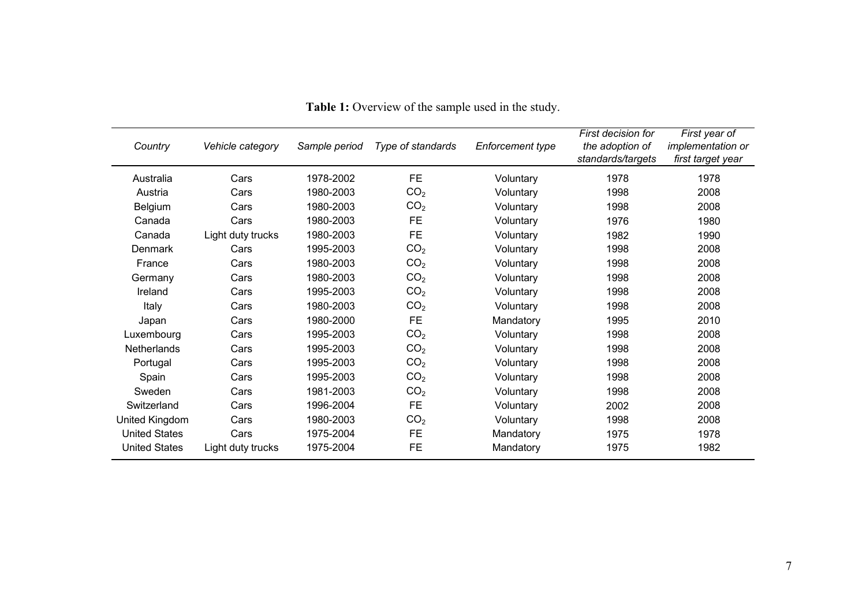| Country              | Vehicle category  | Sample period | Type of standards | <b>Enforcement type</b> | First decision for<br>the adoption of<br>standards/targets | First year of<br><i>implementation or</i><br>first target year |
|----------------------|-------------------|---------------|-------------------|-------------------------|------------------------------------------------------------|----------------------------------------------------------------|
| Australia            | Cars              | 1978-2002     | FE                | Voluntary               | 1978                                                       | 1978                                                           |
| Austria              | Cars              | 1980-2003     | CO <sub>2</sub>   | Voluntary               | 1998                                                       | 2008                                                           |
| Belgium              | Cars              | 1980-2003     | CO <sub>2</sub>   | Voluntary               | 1998                                                       | 2008                                                           |
| Canada               | Cars              | 1980-2003     | FE.               | Voluntary               | 1976                                                       | 1980                                                           |
| Canada               | Light duty trucks | 1980-2003     | FE                | Voluntary               | 1982                                                       | 1990                                                           |
| Denmark              | Cars              | 1995-2003     | CO <sub>2</sub>   | Voluntary               | 1998                                                       | 2008                                                           |
| France               | Cars              | 1980-2003     | CO <sub>2</sub>   | Voluntary               | 1998                                                       | 2008                                                           |
| Germany              | Cars              | 1980-2003     | CO <sub>2</sub>   | Voluntary               | 1998                                                       | 2008                                                           |
| Ireland              | Cars              | 1995-2003     | CO <sub>2</sub>   | Voluntary               | 1998                                                       | 2008                                                           |
| Italy                | Cars              | 1980-2003     | CO <sub>2</sub>   | Voluntary               | 1998                                                       | 2008                                                           |
| Japan                | Cars              | 1980-2000     | FE                | Mandatory               | 1995                                                       | 2010                                                           |
| Luxembourg           | Cars              | 1995-2003     | CO <sub>2</sub>   | Voluntary               | 1998                                                       | 2008                                                           |
| <b>Netherlands</b>   | Cars              | 1995-2003     | CO <sub>2</sub>   | Voluntary               | 1998                                                       | 2008                                                           |
| Portugal             | Cars              | 1995-2003     | CO <sub>2</sub>   | Voluntary               | 1998                                                       | 2008                                                           |
| Spain                | Cars              | 1995-2003     | CO <sub>2</sub>   | Voluntary               | 1998                                                       | 2008                                                           |
| Sweden               | Cars              | 1981-2003     | CO <sub>2</sub>   | Voluntary               | 1998                                                       | 2008                                                           |
| Switzerland          | Cars              | 1996-2004     | FE                | Voluntary               | 2002                                                       | 2008                                                           |
| United Kingdom       | Cars              | 1980-2003     | CO <sub>2</sub>   | Voluntary               | 1998                                                       | 2008                                                           |
| <b>United States</b> | Cars              | 1975-2004     | FE.               | Mandatory               | 1975                                                       | 1978                                                           |
| <b>United States</b> | Light duty trucks | 1975-2004     | <b>FE</b>         | Mandatory               | 1975                                                       | 1982                                                           |

**Table 1:** Overview of the sample used in the study.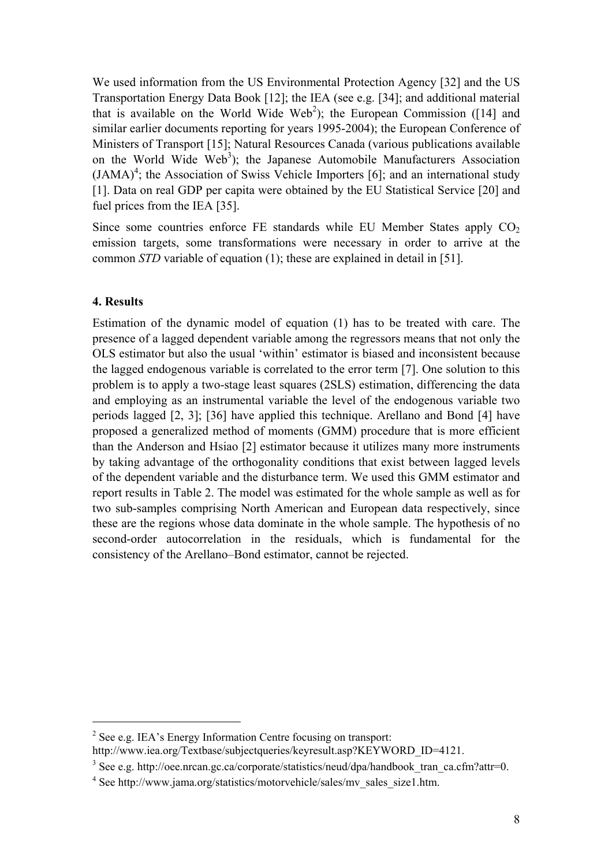We used information from the US Environmental Protection Agency [32] and the US Transportation Energy Data Book [12]; the IEA (see e.g. [34]; and additional material that is available on the World Wide Web<sup>[2](#page-7-0)</sup>); the European Commission ([14] and similar earlier documents reporting for years 1995-2004); the European Conference of Ministers of Transport [15]; Natural Resources Canada (various publications available on the World Wide Web<sup>3</sup>); the Japanese Automobile Manufacturers Association  $(JAMA)^4$  $(JAMA)^4$ ; the Association of Swiss Vehicle Importers [6]; and an international study [1]. Data on real GDP per capita were obtained by the EU Statistical Service [20] and fuel prices from the IEA [35].

Since some countries enforce FE standards while EU Member States apply  $CO<sub>2</sub>$ emission targets, some transformations were necessary in order to arrive at the common *STD* variable of equation (1); these are explained in detail in [51].

#### **4. Results**

 $\overline{a}$ 

Estimation of the dynamic model of equation (1) has to be treated with care. The presence of a lagged dependent variable among the regressors means that not only the OLS estimator but also the usual 'within' estimator is biased and inconsistent because the lagged endogenous variable is correlated to the error term [7]. One solution to this problem is to apply a two-stage least squares (2SLS) estimation, differencing the data and employing as an instrumental variable the level of the endogenous variable two periods lagged [2, 3]; [36] have applied this technique. Arellano and Bond [4] have proposed a generalized method of moments (GMM) procedure that is more efficient than the Anderson and Hsiao [2] estimator because it utilizes many more instruments by taking advantage of the orthogonality conditions that exist between lagged levels of the dependent variable and the disturbance term. We used this GMM estimator and report results in Table 2. The model was estimated for the whole sample as well as for two sub-samples comprising North American and European data respectively, since these are the regions whose data dominate in the whole sample. The hypothesis of no second-order autocorrelation in the residuals, which is fundamental for the consistency of the Arellano–Bond estimator, cannot be rejected.

<span id="page-7-0"></span><sup>&</sup>lt;sup>2</sup> See e.g. IEA's Energy Information Centre focusing on transport: http://www.iea.org/Textbase/subjectqueries/keyresult.asp?KEYWORD\_ID=4121.

<span id="page-7-1"></span><sup>&</sup>lt;sup>3</sup> See e.g. http://oee.nrcan.gc.ca/corporate/statistics/neud/dpa/handbook\_tran\_ca.cfm?attr=0.

<span id="page-7-2"></span><sup>4</sup> See http://www.jama.org/statistics/motorvehicle/sales/mv\_sales\_size1.htm.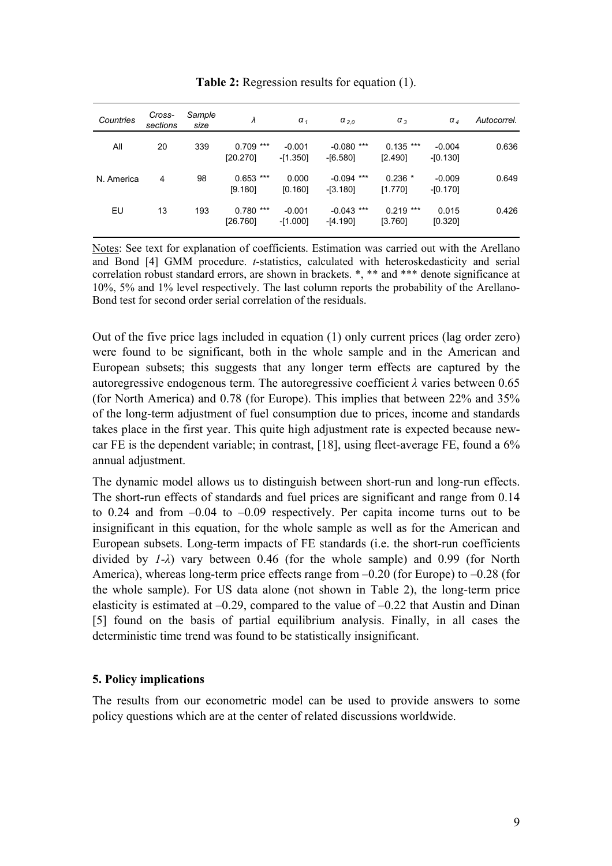| Countries  | Cross-<br>sections | Sample<br>size | λ                       | $\alpha_{1}$           | $\alpha_{2,0}$                | $\alpha_{3}$           | $\alpha$ <sub>4</sub>  | Autocorrel. |
|------------|--------------------|----------------|-------------------------|------------------------|-------------------------------|------------------------|------------------------|-------------|
| All        | 20                 | 339            | $0.709$ ***<br>[20.270] | $-0.001$<br>$-[1.350]$ | ***<br>$-0.080$<br>$-[6.580]$ | $0.135$ ***<br>[2.490] | $-0.004$<br>$-[0.130]$ | 0.636       |
| N. America | 4                  | 98             | $0.653$ ***<br>[9.180]  | 0.000<br>[0.160]       | $-0.094$ ***<br>$-[3.180]$    | $0.236*$<br>[1.770]    | $-0.009$<br>-[0.170]   | 0.649       |
| EU         | 13                 | 193            | $0.780$ ***<br>[26.760] | $-0.001$<br>$-[1.000]$ | $-0.043$ ***<br>$-[4.190]$    | $0.219$ ***<br>[3.760] | 0.015<br>[0.320]       | 0.426       |

**Table 2:** Regression results for equation (1).

Notes: See text for explanation of coefficients. Estimation was carried out with the Arellano and Bond [4] GMM procedure. *t*-statistics, calculated with heteroskedasticity and serial correlation robust standard errors, are shown in brackets. \*, \*\* and \*\*\* denote significance at 10%, 5% and 1% level respectively. The last column reports the probability of the Arellano-Bond test for second order serial correlation of the residuals.

Out of the five price lags included in equation (1) only current prices (lag order zero) were found to be significant, both in the whole sample and in the American and European subsets; this suggests that any longer term effects are captured by the autoregressive endogenous term. The autoregressive coefficient *λ* varies between 0.65 (for North America) and 0.78 (for Europe). This implies that between 22% and 35% of the long-term adjustment of fuel consumption due to prices, income and standards takes place in the first year. This quite high adjustment rate is expected because newcar FE is the dependent variable; in contrast, [18], using fleet-average FE, found a 6% annual adjustment.

The dynamic model allows us to distinguish between short-run and long-run effects. The short-run effects of standards and fuel prices are significant and range from 0.14 to 0.24 and from  $-0.04$  to  $-0.09$  respectively. Per capita income turns out to be insignificant in this equation, for the whole sample as well as for the American and European subsets. Long-term impacts of FE standards (i.e. the short-run coefficients divided by *1-λ*) vary between 0.46 (for the whole sample) and 0.99 (for North America), whereas long-term price effects range from –0.20 (for Europe) to –0.28 (for the whole sample). For US data alone (not shown in Table 2), the long-term price elasticity is estimated at  $-0.29$ , compared to the value of  $-0.22$  that Austin and Dinan [5] found on the basis of partial equilibrium analysis. Finally, in all cases the deterministic time trend was found to be statistically insignificant.

## **5. Policy implications**

The results from our econometric model can be used to provide answers to some policy questions which are at the center of related discussions worldwide.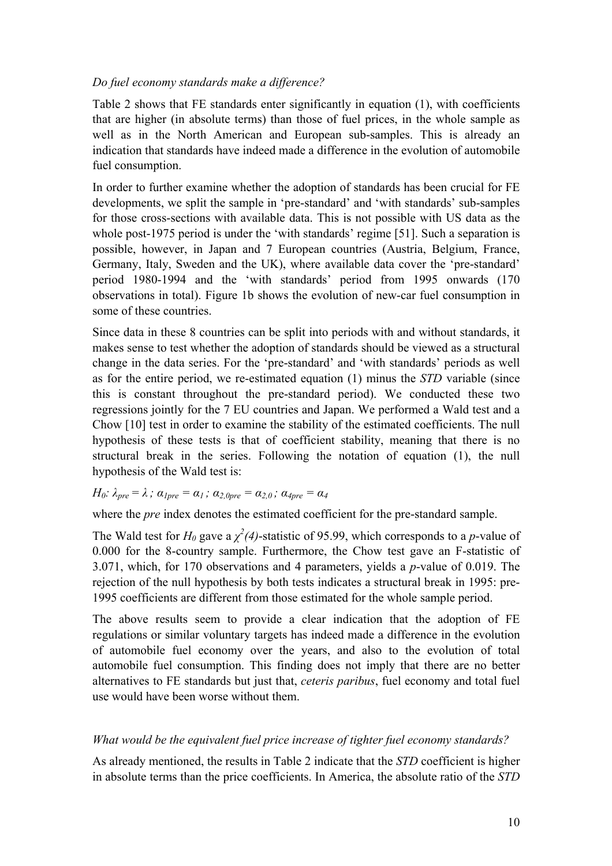## *Do fuel economy standards make a difference?*

Table 2 shows that FE standards enter significantly in equation (1), with coefficients that are higher (in absolute terms) than those of fuel prices, in the whole sample as well as in the North American and European sub-samples. This is already an indication that standards have indeed made a difference in the evolution of automobile fuel consumption.

In order to further examine whether the adoption of standards has been crucial for FE developments, we split the sample in 'pre-standard' and 'with standards' sub-samples for those cross-sections with available data. This is not possible with US data as the whole post-1975 period is under the 'with standards' regime [51]. Such a separation is possible, however, in Japan and 7 European countries (Austria, Belgium, France, Germany, Italy, Sweden and the UK), where available data cover the 'pre-standard' period 1980-1994 and the 'with standards' period from 1995 onwards (170 observations in total). Figure 1b shows the evolution of new-car fuel consumption in some of these countries.

Since data in these 8 countries can be split into periods with and without standards, it makes sense to test whether the adoption of standards should be viewed as a structural change in the data series. For the 'pre-standard' and 'with standards' periods as well as for the entire period, we re-estimated equation (1) minus the *STD* variable (since this is constant throughout the pre-standard period). We conducted these two regressions jointly for the 7 EU countries and Japan. We performed a Wald test and a Chow [10] test in order to examine the stability of the estimated coefficients. The null hypothesis of these tests is that of coefficient stability, meaning that there is no structural break in the series. Following the notation of equation (1), the null hypothesis of the Wald test is:

# *H*<sub>0</sub>:  $\lambda_{pre} = \lambda$ ;  $\alpha_{1pre} = \alpha_1$ ;  $\alpha_{2,0pre} = \alpha_{2,0}$ ;  $\alpha_{4pre} = \alpha_4$

where the *pre* index denotes the estimated coefficient for the pre-standard sample.

The Wald test for  $H_0$  gave a  $\chi^2(4)$ -statistic of 95.99, which corresponds to a *p*-value of 0.000 for the 8-country sample. Furthermore, the Chow test gave an F-statistic of 3.071, which, for 170 observations and 4 parameters, yields a *p*-value of 0.019. The rejection of the null hypothesis by both tests indicates a structural break in 1995: pre-1995 coefficients are different from those estimated for the whole sample period.

The above results seem to provide a clear indication that the adoption of FE regulations or similar voluntary targets has indeed made a difference in the evolution of automobile fuel economy over the years, and also to the evolution of total automobile fuel consumption. This finding does not imply that there are no better alternatives to FE standards but just that, *ceteris paribus*, fuel economy and total fuel use would have been worse without them.

#### *What would be the equivalent fuel price increase of tighter fuel economy standards?*

As already mentioned, the results in Table 2 indicate that the *STD* coefficient is higher in absolute terms than the price coefficients. In America, the absolute ratio of the *STD*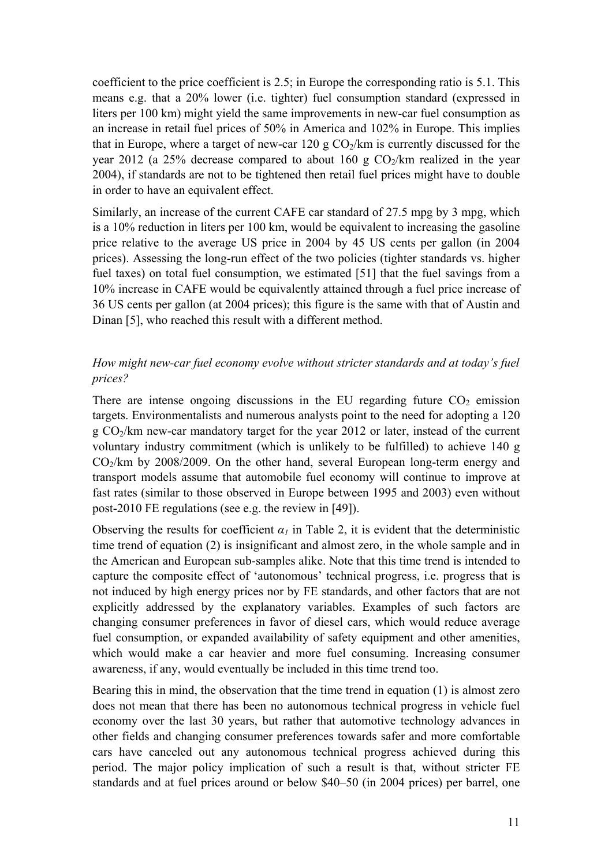coefficient to the price coefficient is 2.5; in Europe the corresponding ratio is 5.1. This means e.g. that a 20% lower (i.e. tighter) fuel consumption standard (expressed in liters per 100 km) might yield the same improvements in new-car fuel consumption as an increase in retail fuel prices of 50% in America and 102% in Europe. This implies that in Europe, where a target of new-car 120 g  $CO<sub>2</sub>/km$  is currently discussed for the year 2012 (a 25% decrease compared to about 160 g  $CO<sub>2</sub>/km$  realized in the year 2004), if standards are not to be tightened then retail fuel prices might have to double in order to have an equivalent effect.

Similarly, an increase of the current CAFE car standard of 27.5 mpg by 3 mpg, which is a 10% reduction in liters per 100 km, would be equivalent to increasing the gasoline price relative to the average US price in 2004 by 45 US cents per gallon (in 2004 prices). Assessing the long-run effect of the two policies (tighter standards vs. higher fuel taxes) on total fuel consumption, we estimated [51] that the fuel savings from a 10% increase in CAFE would be equivalently attained through a fuel price increase of 36 US cents per gallon (at 2004 prices); this figure is the same with that of Austin and Dinan [5], who reached this result with a different method.

## *How might new-car fuel economy evolve without stricter standards and at today's fuel prices?*

There are intense ongoing discussions in the EU regarding future  $CO<sub>2</sub>$  emission targets. Environmentalists and numerous analysts point to the need for adopting a 120  $g \text{CO}_2$ /km new-car mandatory target for the year 2012 or later, instead of the current voluntary industry commitment (which is unlikely to be fulfilled) to achieve 140 g  $CO<sub>2</sub>/km$  by 2008/2009. On the other hand, several European long-term energy and transport models assume that automobile fuel economy will continue to improve at fast rates (similar to those observed in Europe between 1995 and 2003) even without post-2010 FE regulations (see e.g. the review in [49]).

Observing the results for coefficient  $\alpha_l$  in Table 2, it is evident that the deterministic time trend of equation (2) is insignificant and almost zero, in the whole sample and in the American and European sub-samples alike. Note that this time trend is intended to capture the composite effect of 'autonomous' technical progress, i.e. progress that is not induced by high energy prices nor by FE standards, and other factors that are not explicitly addressed by the explanatory variables. Examples of such factors are changing consumer preferences in favor of diesel cars, which would reduce average fuel consumption, or expanded availability of safety equipment and other amenities, which would make a car heavier and more fuel consuming. Increasing consumer awareness, if any, would eventually be included in this time trend too.

Bearing this in mind, the observation that the time trend in equation (1) is almost zero does not mean that there has been no autonomous technical progress in vehicle fuel economy over the last 30 years, but rather that automotive technology advances in other fields and changing consumer preferences towards safer and more comfortable cars have canceled out any autonomous technical progress achieved during this period. The major policy implication of such a result is that, without stricter FE standards and at fuel prices around or below \$40–50 (in 2004 prices) per barrel, one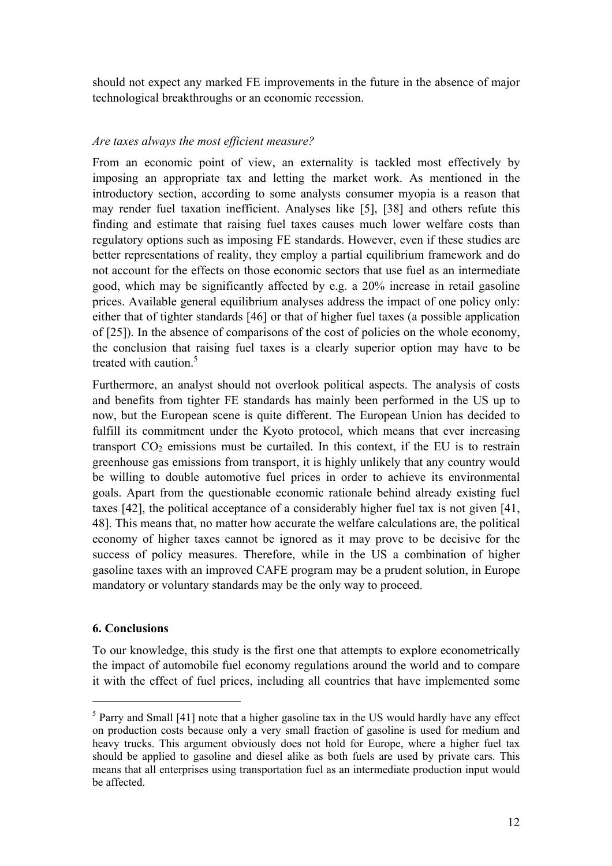should not expect any marked FE improvements in the future in the absence of major technological breakthroughs or an economic recession.

### *Are taxes always the most efficient measure?*

From an economic point of view, an externality is tackled most effectively by imposing an appropriate tax and letting the market work. As mentioned in the introductory section, according to some analysts consumer myopia is a reason that may render fuel taxation inefficient. Analyses like [5], [38] and others refute this finding and estimate that raising fuel taxes causes much lower welfare costs than regulatory options such as imposing FE standards. However, even if these studies are better representations of reality, they employ a partial equilibrium framework and do not account for the effects on those economic sectors that use fuel as an intermediate good, which may be significantly affected by e.g. a 20% increase in retail gasoline prices. Available general equilibrium analyses address the impact of one policy only: either that of tighter standards [46] or that of higher fuel taxes (a possible application of [25]). In the absence of comparisons of the cost of policies on the whole economy, the conclusion that raising fuel taxes is a clearly superior option may have to be treated with caution.<sup>5</sup>

Furthermore, an analyst should not overlook political aspects. The analysis of costs and benefits from tighter FE standards has mainly been performed in the US up to now, but the European scene is quite different. The European Union has decided to fulfill its commitment under the Kyoto protocol, which means that ever increasing transport  $CO<sub>2</sub>$  emissions must be curtailed. In this context, if the EU is to restrain greenhouse gas emissions from transport, it is highly unlikely that any country would be willing to double automotive fuel prices in order to achieve its environmental goals. Apart from the questionable economic rationale behind already existing fuel taxes [42], the political acceptance of a considerably higher fuel tax is not given [41, 48]. This means that, no matter how accurate the welfare calculations are, the political economy of higher taxes cannot be ignored as it may prove to be decisive for the success of policy measures. Therefore, while in the US a combination of higher gasoline taxes with an improved CAFE program may be a prudent solution, in Europe mandatory or voluntary standards may be the only way to proceed.

## **6. Conclusions**

 $\overline{a}$ 

To our knowledge, this study is the first one that attempts to explore econometrically the impact of automobile fuel economy regulations around the world and to compare it with the effect of fuel prices, including all countries that have implemented some

<span id="page-11-0"></span> $<sup>5</sup>$  Parry and Small [41] note that a higher gasoline tax in the US would hardly have any effect</sup> on production costs because only a very small fraction of gasoline is used for medium and heavy trucks. This argument obviously does not hold for Europe, where a higher fuel tax should be applied to gasoline and diesel alike as both fuels are used by private cars. This means that all enterprises using transportation fuel as an intermediate production input would be affected.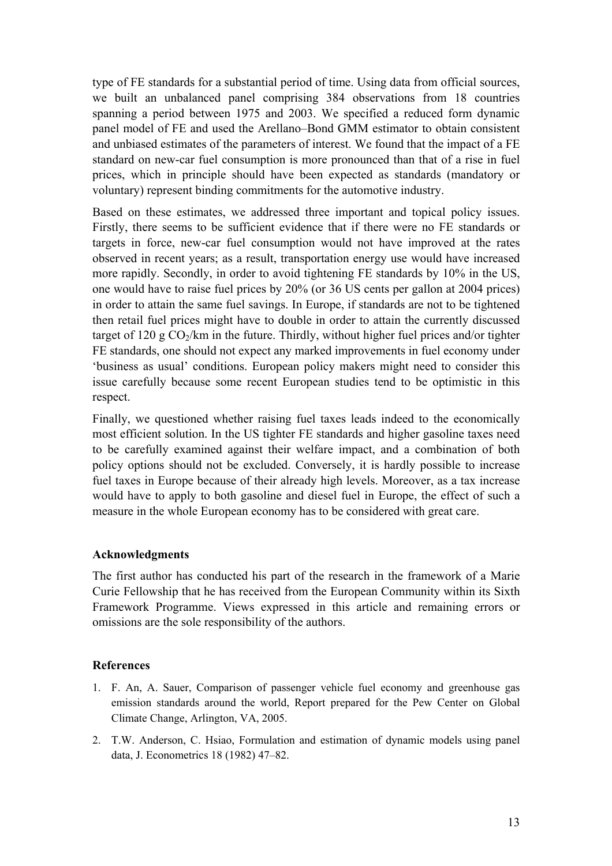type of FE standards for a substantial period of time. Using data from official sources, we built an unbalanced panel comprising 384 observations from 18 countries spanning a period between 1975 and 2003. We specified a reduced form dynamic panel model of FE and used the Arellano–Bond GMM estimator to obtain consistent and unbiased estimates of the parameters of interest. We found that the impact of a FE standard on new-car fuel consumption is more pronounced than that of a rise in fuel prices, which in principle should have been expected as standards (mandatory or voluntary) represent binding commitments for the automotive industry.

Based on these estimates, we addressed three important and topical policy issues. Firstly, there seems to be sufficient evidence that if there were no FE standards or targets in force, new-car fuel consumption would not have improved at the rates observed in recent years; as a result, transportation energy use would have increased more rapidly. Secondly, in order to avoid tightening FE standards by 10% in the US, one would have to raise fuel prices by 20% (or 36 US cents per gallon at 2004 prices) in order to attain the same fuel savings. In Europe, if standards are not to be tightened then retail fuel prices might have to double in order to attain the currently discussed target of 120 g  $CO<sub>2</sub>/km$  in the future. Thirdly, without higher fuel prices and/or tighter FE standards, one should not expect any marked improvements in fuel economy under 'business as usual' conditions. European policy makers might need to consider this issue carefully because some recent European studies tend to be optimistic in this respect.

Finally, we questioned whether raising fuel taxes leads indeed to the economically most efficient solution. In the US tighter FE standards and higher gasoline taxes need to be carefully examined against their welfare impact, and a combination of both policy options should not be excluded. Conversely, it is hardly possible to increase fuel taxes in Europe because of their already high levels. Moreover, as a tax increase would have to apply to both gasoline and diesel fuel in Europe, the effect of such a measure in the whole European economy has to be considered with great care.

#### **Acknowledgments**

The first author has conducted his part of the research in the framework of a Marie Curie Fellowship that he has received from the European Community within its Sixth Framework Programme. Views expressed in this article and remaining errors or omissions are the sole responsibility of the authors.

#### **References**

- 1. F. An, A. Sauer, Comparison of passenger vehicle fuel economy and greenhouse gas emission standards around the world, Report prepared for the Pew Center on Global Climate Change, Arlington, VA, 2005.
- 2. T.W. Anderson, C. Hsiao, Formulation and estimation of dynamic models using panel data, J. Econometrics 18 (1982) 47–82.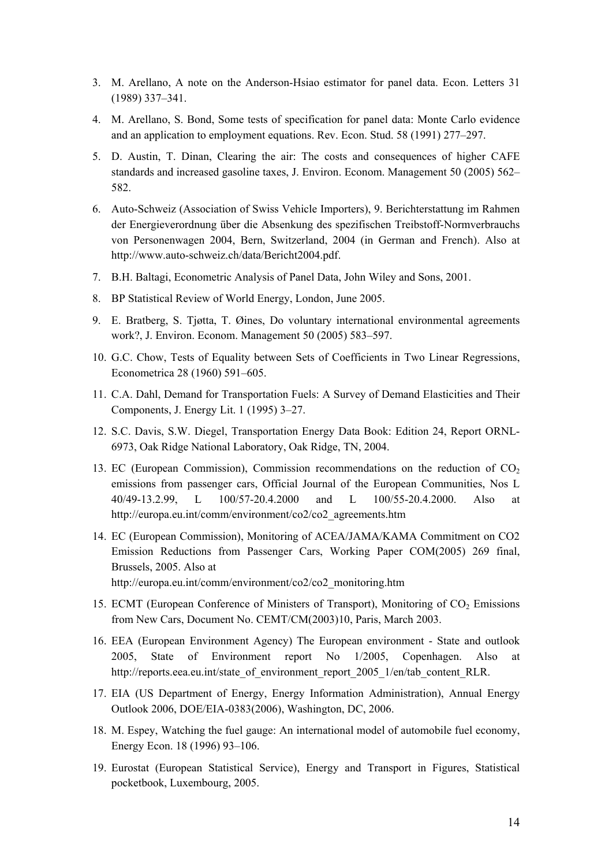- 3. M. Arellano, Α note on the Αnderson-Ηsiao estimator for panel data. Econ. Letters 31 (1989) 337–341.
- 4. M. Arellano, S. Bond, Some tests of specification for panel data: Monte Carlo evidence and an application to employment equations. Rev. Econ. Stud. 58 (1991) 277–297.
- 5. D. Austin, T. Dinan, Clearing the air: The costs and consequences of higher CAFE standards and increased gasoline taxes, J. Environ. Econom. Management 50 (2005) 562– 582.
- 6. Auto-Schweiz (Association of Swiss Vehicle Importers), 9. Berichterstattung im Rahmen der Energieverordnung über die Absenkung des spezifischen Treibstoff-Normverbrauchs von Personenwagen 2004, Bern, Switzerland, 2004 (in German and French). Also at http://www.auto-schweiz.ch/data/Bericht2004.pdf.
- 7. B.H. Baltagi, Econometric Analysis of Panel Data, John Wiley and Sons, 2001.
- 8. BP Statistical Review of World Energy, London, June 2005.
- 9. E. Bratberg, S. Tjøtta, T. Øines, Do voluntary international environmental agreements work?, J. Environ. Econom. Management 50 (2005) 583–597.
- 10. G.C. Chow, Tests of Equality between Sets of Coefficients in Two Linear Regressions, Econometrica 28 (1960) 591–605.
- 11. C.A. Dahl, Demand for Transportation Fuels: A Survey of Demand Elasticities and Their Components, J. Energy Lit. 1 (1995) 3–27.
- 12. S.C. Davis, S.W. Diegel, Transportation Energy Data Book: Edition 24, Report ORNL-6973, Oak Ridge National Laboratory, Oak Ridge, TN, 2004.
- 13. EC (European Commission), Commission recommendations on the reduction of  $CO<sub>2</sub>$ emissions from passenger cars, Official Journal of the European Communities, Nos L 40/49-13.2.99, L 100/57-20.4.2000 and L 100/55-20.4.2000. Also at http://europa.eu.int/comm/environment/co2/co2\_agreements.htm
- 14. EC (European Commission), Monitoring of ACEA/JAMA/KAMA Commitment on CO2 Emission Reductions from Passenger Cars, Working Paper COM(2005) 269 final, Brussels, 2005. Also at

http://europa.eu.int/comm/environment/co2/co2\_monitoring.htm

- 15. ECMT (European Conference of Ministers of Transport), Monitoring of CO<sub>2</sub> Emissions from New Cars, Document No. CEMT/CM(2003)10, Paris, March 2003.
- 16. EEA (European Environment Agency) The European environment State and outlook 2005, State of Environment report No 1/2005, Copenhagen. Also at http://reports.eea.eu.int/state\_of\_environment\_report\_2005\_1/en/tab\_content\_RLR.
- 17. EIA (US Department of Energy, Energy Information Administration), Annual Energy Outlook 2006, DOE/EIA-0383(2006), Washington, DC, 2006.
- 18. M. Espey, Watching the fuel gauge: An international model of automobile fuel economy, Energy Econ. 18 (1996) 93–106.
- 19. Eurostat (European Statistical Service), Energy and Transport in Figures, Statistical pocketbook, Luxembourg, 2005.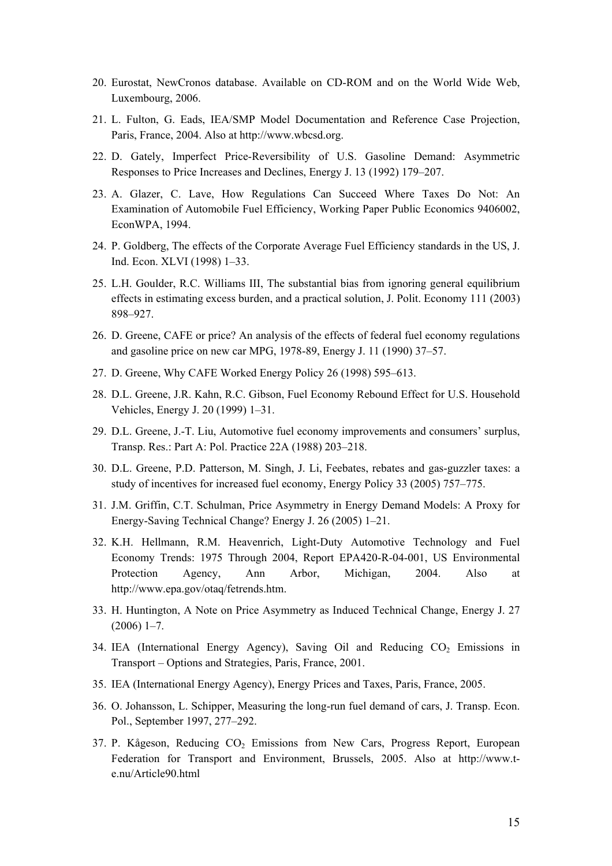- 20. Eurostat, NewCronos database. Available on CD-ROM and on the World Wide Web, Luxembourg, 2006.
- 21. L. Fulton, G. Eads, IEA/SMP Model Documentation and Reference Case Projection, Paris, France, 2004. Also at http://www.wbcsd.org.
- 22. D. Gately, Imperfect Price-Reversibility of U.S. Gasoline Demand: Asymmetric Responses to Price Increases and Declines, Energy J. 13 (1992) 179–207.
- 23. A. Glazer, C. Lave, How Regulations Can Succeed Where Taxes Do Not: An Examination of Automobile Fuel Efficiency, Working Paper Public Economics 9406002, EconWPA, 1994.
- 24. P. Goldberg, The effects of the Corporate Average Fuel Efficiency standards in the US, J. Ind. Econ. XLVI (1998) 1–33.
- 25. L.H. Goulder, R.C. Williams III, The substantial bias from ignoring general equilibrium effects in estimating excess burden, and a practical solution, J. Polit. Economy 111 (2003) 898–927.
- 26. D. Greene, CAFE or price? An analysis of the effects of federal fuel economy regulations and gasoline price on new car MPG, 1978-89, Energy J. 11 (1990) 37–57.
- 27. D. Greene, Why CAFE Worked Energy Policy 26 (1998) 595–613.
- 28. D.L. Greene, J.R. Kahn, R.C. Gibson, Fuel Economy Rebound Effect for U.S. Household Vehicles, Energy J. 20 (1999) 1–31.
- 29. D.L. Greene, J.-T. Liu, Automotive fuel economy improvements and consumers' surplus, Transp. Res.: Part A: Pol. Practice 22A (1988) 203–218.
- 30. D.L. Greene, P.D. Patterson, M. Singh, J. Li, Feebates, rebates and gas-guzzler taxes: a study of incentives for increased fuel economy, Energy Policy 33 (2005) 757–775.
- 31. J.M. Griffin, C.T. Schulman, Price Asymmetry in Energy Demand Models: A Proxy for Energy-Saving Technical Change? Energy J. 26 (2005) 1–21.
- 32. K.H. Hellmann, R.M. Heavenrich, Light-Duty Automotive Technology and Fuel Economy Trends: 1975 Through 2004, Report EPA420-R-04-001, US Environmental Protection Agency, Ann Arbor, Michigan, 2004. Also at http://www.epa.gov/otaq/fetrends.htm.
- 33. H. Huntington, A Note on Price Asymmetry as Induced Technical Change, Energy J. 27  $(2006)$  1–7.
- 34. IEA (International Energy Agency), Saving Oil and Reducing  $CO<sub>2</sub>$  Emissions in Transport – Options and Strategies, Paris, France, 2001.
- 35. IEA (International Energy Agency), Energy Prices and Taxes, Paris, France, 2005.
- 36. O. Johansson, L. Schipper, Measuring the long-run fuel demand of cars, J. Transp. Econ. Pol., September 1997, 277–292.
- 37. P. Kågeson, Reducing  $CO<sub>2</sub>$  Emissions from New Cars, Progress Report, European Federation for Transport and Environment, Brussels, 2005. Also at http://www.te.nu/Article90.html